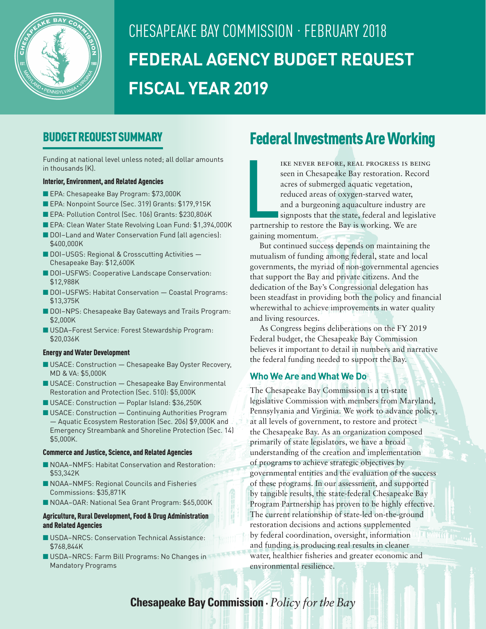

# CHESAPEAKE BAY COMMISSION · FEBRUARY 2018 **FEDERAL AGENCY BUDGET REQUEST FISCAL YEAR 2019**

### BUDGET REQUEST SUMMARY

Funding at national level unless noted; all dollar amounts in thousands (K).

### Interior, Environment, and Related Agencies

- EPA: Chesapeake Bay Program: \$73,000K
- EPA: Nonpoint Source (Sec. 319) Grants: \$179,915K
- EPA: Pollution Control (Sec. 106) Grants: \$230,806K
- EPA: Clean Water State Revolving Loan Fund: \$1,394,000K
- DOI-Land and Water Conservation Fund (all agencies): \$400,000K
- DOI-USGS: Regional & Crosscutting Activities Chesapeake Bay: \$12,600K
- DOI-USFWS: Cooperative Landscape Conservation: \$12,988K
- DOI-USFWS: Habitat Conservation Coastal Programs: \$13,375K
- DOI-NPS: Chesapeake Bay Gateways and Trails Program: \$2,000K
- USDA-Forest Service: Forest Stewardship Program: \$20,036K

#### Energy and Water Development

- $\blacksquare$  USACE: Construction  $-$  Chesapeake Bay Oyster Recovery, MD & VA: \$5,000K
- $\blacksquare$  USACE: Construction  $-$  Chesapeake Bay Environmental Restoration and Protection (Sec. 510): \$5,000K
- USACE: Construction Poplar Island: \$36,250K
- $\blacksquare$  USACE: Construction  $-$  Continuing Authorities Program — Aquatic Ecosystem Restoration (Sec. 206) \$9,000K and Emergency Streambank and Shoreline Protection (Sec. 14) \$5,000K.

#### Commerce and Justice, Science, and Related Agencies

- NOAA–NMFS: Habitat Conservation and Restoration: \$53,342K
- NOAA–NMFS: Regional Councils and Fisheries Commissions: \$35,871K
- NOAA-OAR: National Sea Grant Program: \$65,000K

#### Agriculture, Rural Development, Food & Drug Administration and Related Agencies

- USDA–NRCS: Conservation Technical Assistance: \$768,844K
- USDA-NRCS: Farm Bill Programs: No Changes in Mandatory Programs

## Federal Investments Are Working

**Lating Contracts** ike never before, real progress is being seen in Chesapeake Bay restoration. Record acres of submerged aquatic vegetation, reduced areas of oxygen-starved water, and a burgeoning aquaculture industry are signposts that the state, federal and legislative partnership to restore the Bay is working. We are gaining momentum.

But continued success depends on maintaining the mutualism of funding among federal, state and local governments, the myriad of non-governmental agencies that support the Bay and private citizens. And the dedication of the Bay's Congressional delegation has been steadfast in providing both the policy and financial wherewithal to achieve improvements in water quality and living resources.

As Congress begins deliberations on the FY 2019 Federal budget, the Chesapeake Bay Commission believes it important to detail in numbers and narrative the federal funding needed to support the Bay.

### **Who We Are and What We Do**

The Chesapeake Bay Commission is a tri-state legislative Commission with members from Maryland, Pennsylvania and Virginia. We work to advance policy, at all levels of government, to restore and protect the Chesapeake Bay. As an organization composed primarily of state legislators, we have a broad understanding of the creation and implementation of programs to achieve strategic objectives by governmental entities and the evaluation of the success of these programs. In our assessment, and supported by tangible results, the state-federal Chesapeake Bay Program Partnership has proven to be highly effective. The current relationship of state-led on-the-ground restoration decisions and actions supplemented by federal coordination, oversight, information and funding is producing real results in cleaner water, healthier fisheries and greater economic and environmental resilience.

### **Chesapeake Bay Commission ·** *Policy for the Bay*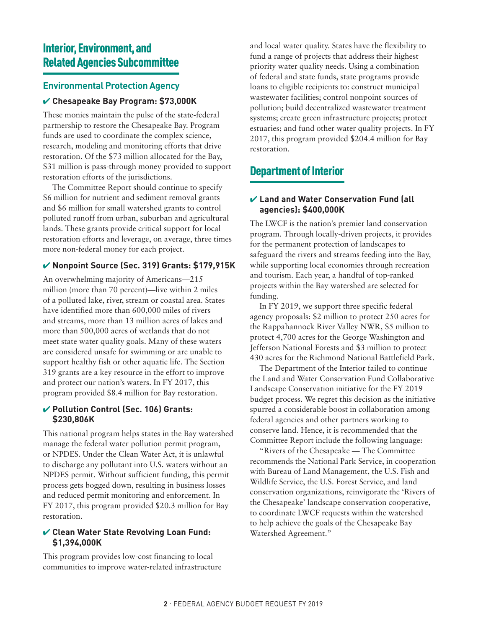### Interior, Environment, and Related Agencies Subcommittee

### **Environmental Protection Agency**

### ✔ **Chesapeake Bay Program: \$73,000K**

These monies maintain the pulse of the state-federal partnership to restore the Chesapeake Bay. Program funds are used to coordinate the complex science, research, modeling and monitoring efforts that drive restoration. Of the \$73 million allocated for the Bay, \$31 million is pass-through money provided to support restoration efforts of the jurisdictions.

The Committee Report should continue to specify \$6 million for nutrient and sediment removal grants and \$6 million for small watershed grants to control polluted runoff from urban, suburban and agricultural lands. These grants provide critical support for local restoration efforts and leverage, on average, three times more non-federal money for each project.

### ✔ **Nonpoint Source (Sec. 319) Grants: \$179,915K**

An overwhelming majority of Americans—215 million (more than 70 percent)—live within 2 miles of a polluted lake, river, stream or coastal area. States have identified more than 600,000 miles of rivers and streams, more than 13 million acres of lakes and more than 500,000 acres of wetlands that do not meet state water quality goals. Many of these waters are considered unsafe for swimming or are unable to support healthy fish or other aquatic life. The Section 319 grants are a key resource in the effort to improve and protect our nation's waters. In FY 2017, this program provided \$8.4 million for Bay restoration.

### ✔ **Pollution Control (Sec. 106) Grants: \$230,806K**

This national program helps states in the Bay watershed manage the federal water pollution permit program, or NPDES. Under the Clean Water Act, it is unlawful to discharge any pollutant into U.S. waters without an NPDES permit. Without sufficient funding, this permit process gets bogged down, resulting in business losses and reduced permit monitoring and enforcement. In FY 2017, this program provided \$20.3 million for Bay restoration.

### ✔ **Clean Water State Revolving Loan Fund: \$1,394,000K**

This program provides low-cost financing to local communities to improve water-related infrastructure and local water quality. States have the flexibility to fund a range of projects that address their highest priority water quality needs. Using a combination of federal and state funds, state programs provide loans to eligible recipients to: construct municipal wastewater facilities; control nonpoint sources of pollution; build decentralized wastewater treatment systems; create green infrastructure projects; protect estuaries; and fund other water quality projects. In FY 2017, this program provided \$204.4 million for Bay restoration.

### Department of Interior

### ✔ **Land and Water Conservation Fund (all agencies): \$400,000K**

The LWCF is the nation's premier land conservation program. Through locally-driven projects, it provides for the permanent protection of landscapes to safeguard the rivers and streams feeding into the Bay, while supporting local economies through recreation and tourism. Each year, a handful of top-ranked projects within the Bay watershed are selected for funding.

In FY 2019, we support three specific federal agency proposals: \$2 million to protect 250 acres for the Rappahannock River Valley NWR, \$5 million to protect 4,700 acres for the George Washington and Jefferson National Forests and \$3 million to protect 430 acres for the Richmond National Battlefield Park.

The Department of the Interior failed to continue the Land and Water Conservation Fund Collaborative Landscape Conservation initiative for the FY 2019 budget process. We regret this decision as the initiative spurred a considerable boost in collaboration among federal agencies and other partners working to conserve land. Hence, it is recommended that the Committee Report include the following language:

"Rivers of the Chesapeake — The Committee recommends the National Park Service, in cooperation with Bureau of Land Management, the U.S. Fish and Wildlife Service, the U.S. Forest Service, and land conservation organizations, reinvigorate the 'Rivers of the Chesapeake' landscape conservation cooperative, to coordinate LWCF requests within the watershed to help achieve the goals of the Chesapeake Bay Watershed Agreement."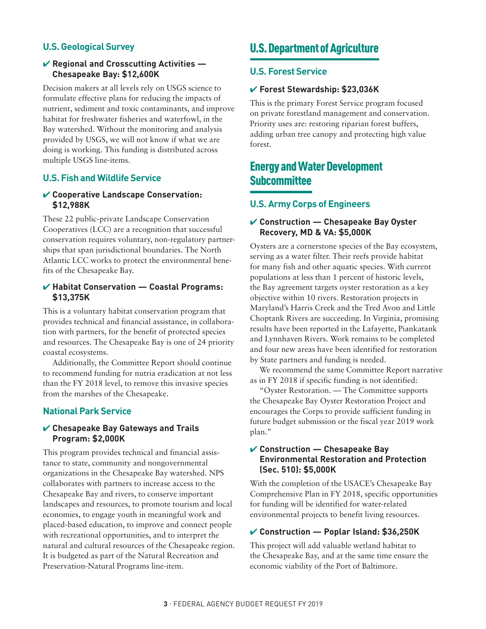### **U.S. Geological Survey**

### ✔ **Regional and Crosscutting Activities — Chesapeake Bay: \$12,600K**

Decision makers at all levels rely on USGS science to formulate effective plans for reducing the impacts of nutrient, sediment and toxic contaminants, and improve habitat for freshwater fisheries and waterfowl, in the Bay watershed. Without the monitoring and analysis provided by USGS, we will not know if what we are doing is working. This funding is distributed across multiple USGS line-items.

### **U.S. Fish and Wildlife Service**

### ✔ **Cooperative Landscape Conservation: \$12,988K**

These 22 public-private Landscape Conservation Cooperatives (LCC) are a recognition that successful conservation requires voluntary, non-regulatory partnerships that span jurisdictional boundaries. The North Atlantic LCC works to protect the environmental benefits of the Chesapeake Bay.

#### ✔ **Habitat Conservation — Coastal Programs: \$13,375K**

This is a voluntary habitat conservation program that provides technical and financial assistance, in collaboration with partners, for the benefit of protected species and resources. The Chesapeake Bay is one of 24 priority coastal ecosystems.

Additionally, the Committee Report should continue to recommend funding for nutria eradication at not less than the FY 2018 level, to remove this invasive species from the marshes of the Chesapeake.

### **National Park Service**

### ✔ **Chesapeake Bay Gateways and Trails Program: \$2,000K**

This program provides technical and financial assistance to state, community and nongovernmental organizations in the Chesapeake Bay watershed. NPS collaborates with partners to increase access to the Chesapeake Bay and rivers, to conserve important landscapes and resources, to promote tourism and local economies, to engage youth in meaningful work and placed-based education, to improve and connect people with recreational opportunities, and to interpret the natural and cultural resources of the Chesapeake region. It is budgeted as part of the Natural Recreation and Preservation-Natural Programs line-item.

### U.S. Department of Agriculture

### **U.S. Forest Service**

#### ✔ **Forest Stewardship: \$23,036K**

This is the primary Forest Service program focused on private forestland management and conservation. Priority uses are: restoring riparian forest buffers, adding urban tree canopy and protecting high value forest.

### Energy and Water Development **Subcommittee**

### **U.S. Army Corps of Engineers**

### ✔ **Construction — Chesapeake Bay Oyster Recovery, MD & VA: \$5,000K**

Oysters are a cornerstone species of the Bay ecosystem, serving as a water filter. Their reefs provide habitat for many fish and other aquatic species. With current populations at less than 1 percent of historic levels, the Bay agreement targets oyster restoration as a key objective within 10 rivers. Restoration projects in Maryland's Harris Creek and the Tred Avon and Little Choptank Rivers are succeeding. In Virginia, promising results have been reported in the Lafayette, Piankatank and Lynnhaven Rivers. Work remains to be completed and four new areas have been identified for restoration by State partners and funding is needed.

We recommend the same Committee Report narrative as in FY 2018 if specific funding is not identified:

"Oyster Restoration. — The Committee supports the Chesapeake Bay Oyster Restoration Project and encourages the Corps to provide sufficient funding in future budget submission or the fiscal year 2019 work plan."

### ✔ **Construction — Chesapeake Bay Environmental Restoration and Protection (Sec. 510): \$5,000K**

With the completion of the USACE's Chesapeake Bay Comprehensive Plan in FY 2018, specific opportunities for funding will be identified for water-related environmental projects to benefit living resources.

#### ✔ **Construction — Poplar Island: \$36,250K**

This project will add valuable wetland habitat to the Chesapeake Bay, and at the same time ensure the economic viability of the Port of Baltimore.